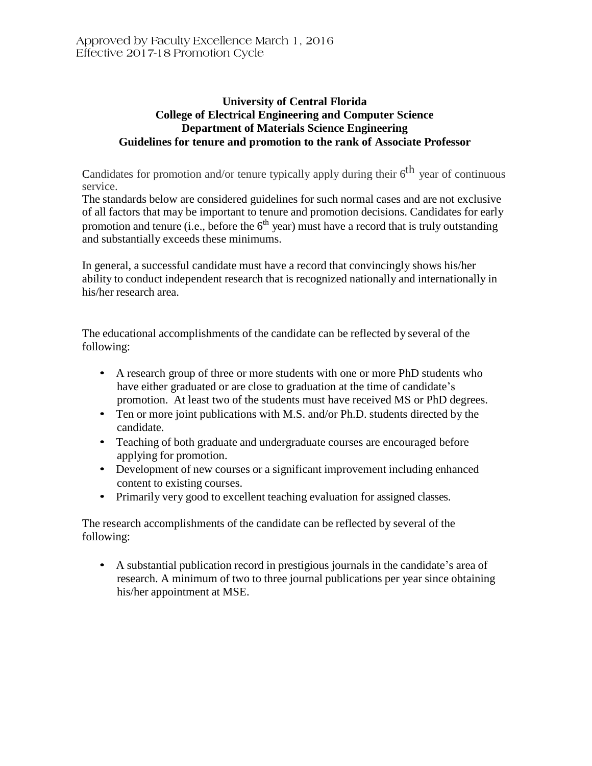## **University of Central Florida College of Electrical Engineering and Computer Science Department of Materials Science Engineering Guidelines for tenure and promotion to the rank of Associate Professor**

Candidates for promotion and/or tenure typically apply during their  $6<sup>th</sup>$  year of continuous service.

The standards below are considered guidelines for such normal cases and are not exclusive of all factors that may be important to tenure and promotion decisions. Candidates for early promotion and tenure (i.e., before the  $6<sup>th</sup>$  year) must have a record that is truly outstanding and substantially exceeds these minimums.

In general, a successful candidate must have a record that convincingly shows his/her ability to conduct independent research that is recognized nationally and internationally in his/her research area.

The educational accomplishments of the candidate can be reflected by several of the following:

- A research group of three or more students with one or more PhD students who have either graduated or are close to graduation at the time of candidate's promotion. At least two of the students must have received MS or PhD degrees.
- Ten or more joint publications with M.S. and/or Ph.D. students directed by the candidate.
- Teaching of both graduate and undergraduate courses are encouraged before applying for promotion.
- Development of new courses or a significant improvement including enhanced content to existing courses.
- Primarily very good to excellent teaching evaluation for assigned classes.

The research accomplishments of the candidate can be reflected by several of the following:

• A substantial publication record in prestigious journals in the candidate's area of research. A minimum of two to three journal publications per year since obtaining his/her appointment at MSE.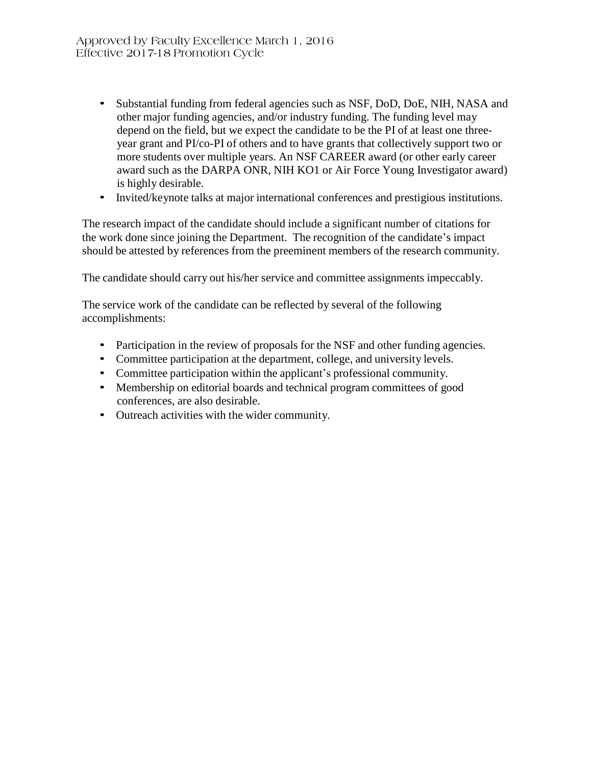- Substantial funding from federal agencies such as NSF, DoD, DoE, NIH, NASA and other major funding agencies, and/or industry funding. The funding level may depend on the field, but we expect the candidate to be the PI of at least one threeyear grant and PI/co-PI of others and to have grants that collectively support two or more students over multiple years. An NSF CAREER award (or other early career award such as the DARPA ONR, NIH KO1 or Air Force Young Investigator award) is highly desirable.
- Invited/keynote talks at major international conferences and prestigious institutions.

The research impact of the candidate should include a significant number of citations for the work done since joining the Department. The recognition of the candidate's impact should be attested by references from the preeminent members of the research community.

The candidate should carry out his/her service and committee assignments impeccably.

The service work of the candidate can be reflected by several of the following accomplishments:

- Participation in the review of proposals for the NSF and other funding agencies.
- Committee participation at the department, college, and university levels.
- Committee participation within the applicant's professional community.
- Membership on editorial boards and technical program committees of good conferences, are also desirable.
- Outreach activities with the wider community.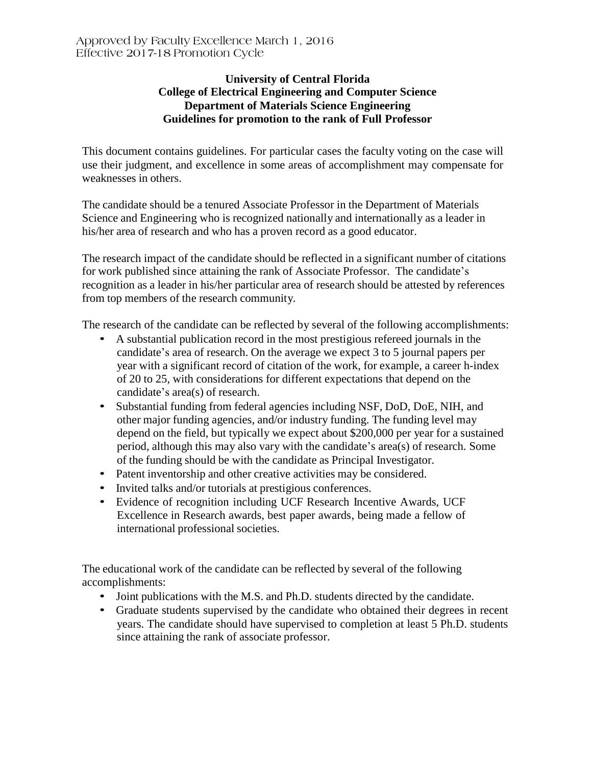## **University of Central Florida College of Electrical Engineering and Computer Science Department of Materials Science Engineering Guidelines for promotion to the rank of Full Professor**

This document contains guidelines. For particular cases the faculty voting on the case will use their judgment, and excellence in some areas of accomplishment may compensate for weaknesses in others.

The candidate should be a tenured Associate Professor in the Department of Materials Science and Engineering who is recognized nationally and internationally as a leader in his/her area of research and who has a proven record as a good educator.

The research impact of the candidate should be reflected in a significant number of citations for work published since attaining the rank of Associate Professor. The candidate's recognition as a leader in his/her particular area of research should be attested by references from top members of the research community.

The research of the candidate can be reflected by several of the following accomplishments:

- A substantial publication record in the most prestigious refereed journals in the candidate's area of research. On the average we expect 3 to 5 journal papers per year with a significant record of citation of the work, for example, a career h-index of 20 to 25, with considerations for different expectations that depend on the candidate's area(s) of research.
- Substantial funding from federal agencies including NSF, DoD, DoE, NIH, and other major funding agencies, and/or industry funding. The funding level may depend on the field, but typically we expect about \$200,000 per year for a sustained period, although this may also vary with the candidate's area(s) of research. Some of the funding should be with the candidate as Principal Investigator.
- Patent inventorship and other creative activities may be considered.
- Invited talks and/or tutorials at prestigious conferences.
- Evidence of recognition including UCF Research Incentive Awards, UCF Excellence in Research awards, best paper awards, being made a fellow of international professional societies.

The educational work of the candidate can be reflected by several of the following accomplishments:

- Joint publications with the M.S. and Ph.D. students directed by the candidate.
- Graduate students supervised by the candidate who obtained their degrees in recent years. The candidate should have supervised to completion at least 5 Ph.D. students since attaining the rank of associate professor.